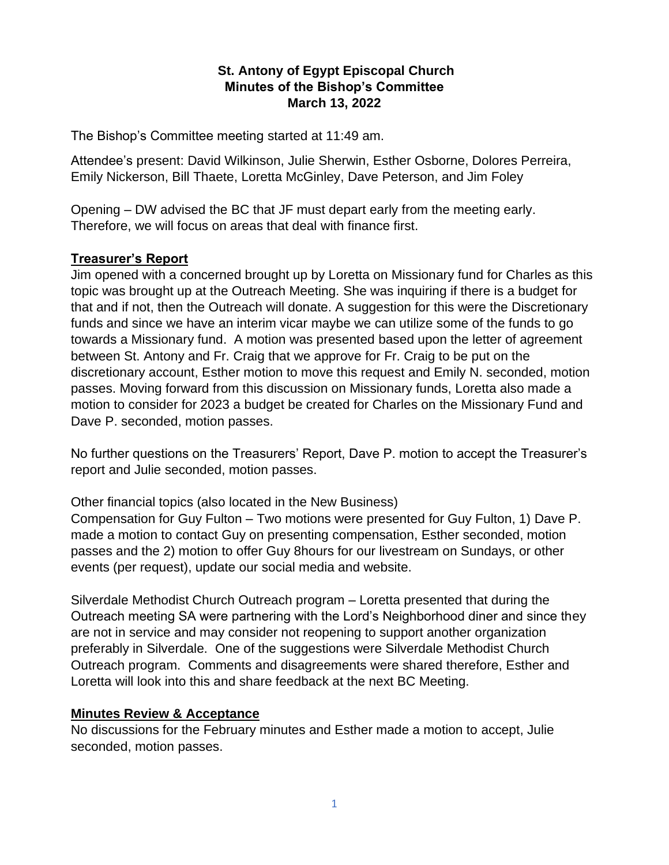# **St. Antony of Egypt Episcopal Church Minutes of the Bishop's Committee March 13, 2022**

The Bishop's Committee meeting started at 11:49 am.

Attendee's present: David Wilkinson, Julie Sherwin, Esther Osborne, Dolores Perreira, Emily Nickerson, Bill Thaete, Loretta McGinley, Dave Peterson, and Jim Foley

Opening – DW advised the BC that JF must depart early from the meeting early. Therefore, we will focus on areas that deal with finance first.

### **Treasurer's Report**

Jim opened with a concerned brought up by Loretta on Missionary fund for Charles as this topic was brought up at the Outreach Meeting. She was inquiring if there is a budget for that and if not, then the Outreach will donate. A suggestion for this were the Discretionary funds and since we have an interim vicar maybe we can utilize some of the funds to go towards a Missionary fund. A motion was presented based upon the letter of agreement between St. Antony and Fr. Craig that we approve for Fr. Craig to be put on the discretionary account, Esther motion to move this request and Emily N. seconded, motion passes. Moving forward from this discussion on Missionary funds, Loretta also made a motion to consider for 2023 a budget be created for Charles on the Missionary Fund and Dave P. seconded, motion passes.

No further questions on the Treasurers' Report, Dave P. motion to accept the Treasurer's report and Julie seconded, motion passes.

Other financial topics (also located in the New Business)

Compensation for Guy Fulton – Two motions were presented for Guy Fulton, 1) Dave P. made a motion to contact Guy on presenting compensation, Esther seconded, motion passes and the 2) motion to offer Guy 8hours for our livestream on Sundays, or other events (per request), update our social media and website.

Silverdale Methodist Church Outreach program – Loretta presented that during the Outreach meeting SA were partnering with the Lord's Neighborhood diner and since they are not in service and may consider not reopening to support another organization preferably in Silverdale. One of the suggestions were Silverdale Methodist Church Outreach program. Comments and disagreements were shared therefore, Esther and Loretta will look into this and share feedback at the next BC Meeting.

### **Minutes Review & Acceptance**

No discussions for the February minutes and Esther made a motion to accept, Julie seconded, motion passes.